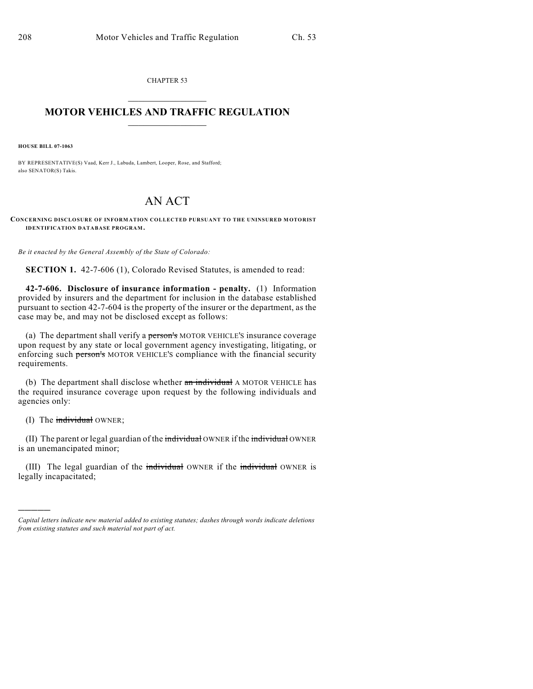CHAPTER 53  $\mathcal{L}_\text{max}$  . The set of the set of the set of the set of the set of the set of the set of the set of the set of the set of the set of the set of the set of the set of the set of the set of the set of the set of the set

## **MOTOR VEHICLES AND TRAFFIC REGULATION**  $\frac{1}{2}$  ,  $\frac{1}{2}$  ,  $\frac{1}{2}$  ,  $\frac{1}{2}$  ,  $\frac{1}{2}$  ,  $\frac{1}{2}$  ,  $\frac{1}{2}$  ,  $\frac{1}{2}$

**HOUSE BILL 07-1063**

BY REPRESENTATIVE(S) Vaad, Kerr J., Labuda, Lambert, Looper, Rose, and Stafford; also SENATOR(S) Takis.

## AN ACT

**CONCERNING DISCLOSURE OF INFORM ATION COLLECTED PURSUANT TO THE UNINSURED M OTORIST IDENTIFICATION DATABASE PROGRAM.**

*Be it enacted by the General Assembly of the State of Colorado:*

**SECTION 1.** 42-7-606 (1), Colorado Revised Statutes, is amended to read:

**42-7-606. Disclosure of insurance information - penalty.** (1) Information provided by insurers and the department for inclusion in the database established pursuant to section 42-7-604 is the property of the insurer or the department, as the case may be, and may not be disclosed except as follows:

(a) The department shall verify a **person's** MOTOR VEHICLE'S insurance coverage upon request by any state or local government agency investigating, litigating, or enforcing such person's MOTOR VEHICLE'S compliance with the financial security requirements.

(b) The department shall disclose whether  $a_n$  individual A MOTOR VEHICLE has the required insurance coverage upon request by the following individuals and agencies only:

(I) The  $\frac{1}{2}$  individual OWNER;

)))))

(II) The parent or legal guardian of the individual OWNER if the individual OWNER is an unemancipated minor;

(III) The legal guardian of the individual OWNER if the individual OWNER is legally incapacitated;

*Capital letters indicate new material added to existing statutes; dashes through words indicate deletions from existing statutes and such material not part of act.*